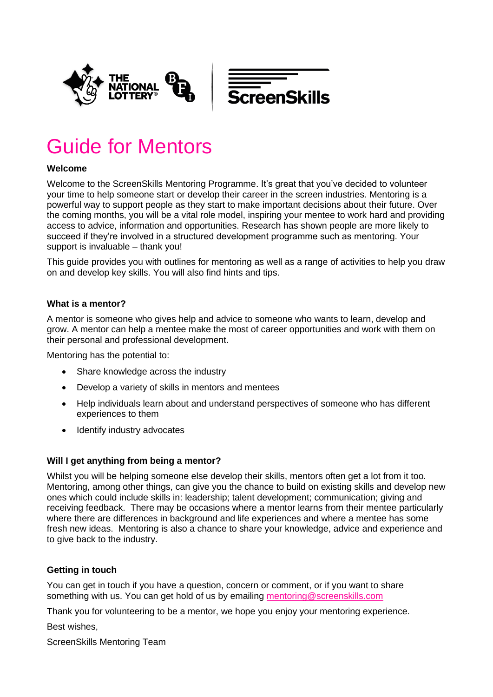

# Guide for Mentors

## **Welcome**

Welcome to the ScreenSkills Mentoring Programme. It's great that you've decided to volunteer your time to help someone start or develop their career in the screen industries. Mentoring is a powerful way to support people as they start to make important decisions about their future. Over the coming months, you will be a vital role model, inspiring your mentee to work hard and providing access to advice, information and opportunities. Research has shown people are more likely to succeed if they're involved in a structured development programme such as mentoring. Your support is invaluable – thank you!

This guide provides you with outlines for mentoring as well as a range of activities to help you draw on and develop key skills. You will also find hints and tips.

## **What is a mentor?**

A mentor is someone who gives help and advice to someone who wants to learn, develop and grow. A mentor can help a mentee make the most of career opportunities and work with them on their personal and professional development.

Mentoring has the potential to:

- Share knowledge across the industry
- Develop a variety of skills in mentors and mentees
- Help individuals learn about and understand perspectives of someone who has different experiences to them
- Identify industry advocates

#### **Will I get anything from being a mentor?**

Whilst you will be helping someone else develop their skills, mentors often get a lot from it too. Mentoring, among other things, can give you the chance to build on existing skills and develop new ones which could include skills in: leadership; talent development; communication; giving and receiving feedback. There may be occasions where a mentor learns from their mentee particularly where there are differences in background and life experiences and where a mentee has some fresh new ideas. Mentoring is also a chance to share your knowledge, advice and experience and to give back to the industry.

## **Getting in touch**

You can get in touch if you have a question, concern or comment, or if you want to share something with us. You can get hold of us by emailing [mentoring@screenskills.com](mailto:mentoring@screenskills.com)

Thank you for volunteering to be a mentor, we hope you enjoy your mentoring experience.

Best wishes,

ScreenSkills Mentoring Team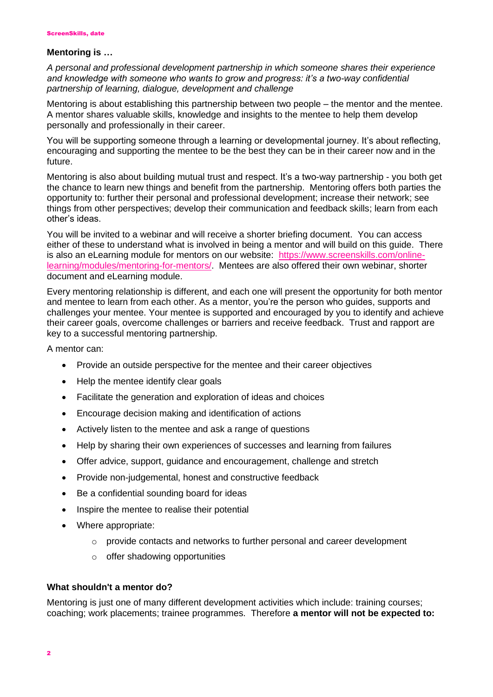#### **Mentoring is …**

*A personal and professional development partnership in which someone shares their experience and knowledge with someone who wants to grow and progress: it's a two-way confidential partnership of learning, dialogue, development and challenge*

Mentoring is about establishing this partnership between two people – the mentor and the mentee. A mentor shares valuable skills, knowledge and insights to the mentee to help them develop personally and professionally in their career.

You will be supporting someone through a learning or developmental journey. It's about reflecting, encouraging and supporting the mentee to be the best they can be in their career now and in the future.

Mentoring is also about building mutual trust and respect. It's a two-way partnership - you both get the chance to learn new things and benefit from the partnership. Mentoring offers both parties the opportunity to: further their personal and professional development; increase their network; see things from other perspectives; develop their communication and feedback skills; learn from each other's ideas.

You will be invited to a webinar and will receive a shorter briefing document. You can access either of these to understand what is involved in being a mentor and will build on this guide. There is also an eLearning module for mentors on our website: [https://www.screenskills.com/online](https://www.screenskills.com/online-learning/modules/mentoring-for-mentors/)[learning/modules/mentoring-for-mentors/.](https://www.screenskills.com/online-learning/modules/mentoring-for-mentors/) Mentees are also offered their own webinar, shorter document and eLearning module.

Every mentoring relationship is different, and each one will present the opportunity for both mentor and mentee to learn from each other. As a mentor, you're the person who guides, supports and challenges your mentee. Your mentee is supported and encouraged by you to identify and achieve their career goals, overcome challenges or barriers and receive feedback. Trust and rapport are key to a successful mentoring partnership.

A mentor can:

- Provide an outside perspective for the mentee and their career objectives
- Help the mentee identify clear goals
- Facilitate the generation and exploration of ideas and choices
- Encourage decision making and identification of actions
- Actively listen to the mentee and ask a range of questions
- Help by sharing their own experiences of successes and learning from failures
- Offer advice, support, guidance and encouragement, challenge and stretch
- Provide non-judgemental, honest and constructive feedback
- Be a confidential sounding board for ideas
- Inspire the mentee to realise their potential
- Where appropriate:
	- $\circ$  provide contacts and networks to further personal and career development
	- o offer shadowing opportunities

#### **What shouldn't a mentor do?**

Mentoring is just one of many different development activities which include: training courses; coaching; work placements; trainee programmes. Therefore **a mentor will not be expected to:**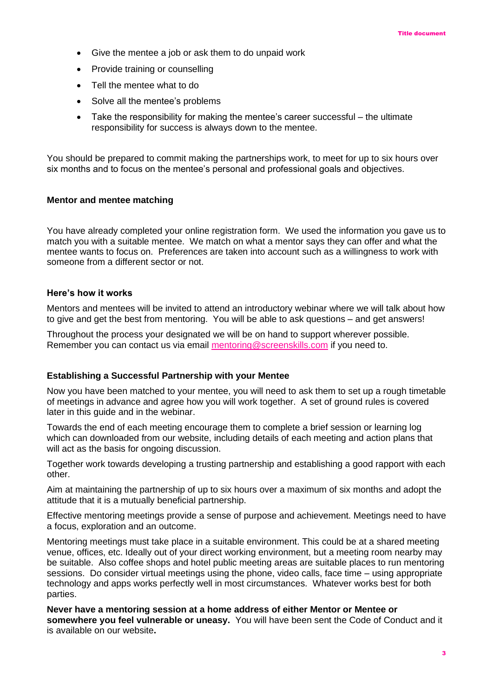- Give the mentee a job or ask them to do unpaid work
- Provide training or counselling
- Tell the mentee what to do
- Solve all the mentee's problems
- Take the responsibility for making the mentee's career successful the ultimate responsibility for success is always down to the mentee.

You should be prepared to commit making the partnerships work, to meet for up to six hours over six months and to focus on the mentee's personal and professional goals and objectives.

#### **Mentor and mentee matching**

You have already completed your online registration form. We used the information you gave us to match you with a suitable mentee. We match on what a mentor says they can offer and what the mentee wants to focus on. Preferences are taken into account such as a willingness to work with someone from a different sector or not.

#### **Here's how it works**

Mentors and mentees will be invited to attend an introductory webinar where we will talk about how to give and get the best from mentoring. You will be able to ask questions – and get answers!

Throughout the process your designated we will be on hand to support wherever possible. Remember you can contact us via email [mentoring@screenskills.com](mailto:mentoring@screenskills.com) if you need to.

#### **Establishing a Successful Partnership with your Mentee**

Now you have been matched to your mentee, you will need to ask them to set up a rough timetable of meetings in advance and agree how you will work together. A set of ground rules is covered later in this guide and in the webinar.

Towards the end of each meeting encourage them to complete a brief session or learning log which can downloaded from our website, including details of each meeting and action plans that will act as the basis for ongoing discussion.

Together work towards developing a trusting partnership and establishing a good rapport with each other.

Aim at maintaining the partnership of up to six hours over a maximum of six months and adopt the attitude that it is a mutually beneficial partnership.

Effective mentoring meetings provide a sense of purpose and achievement. Meetings need to have a focus, exploration and an outcome.

Mentoring meetings must take place in a suitable environment. This could be at a shared meeting venue, offices, etc. Ideally out of your direct working environment, but a meeting room nearby may be suitable. Also coffee shops and hotel public meeting areas are suitable places to run mentoring sessions. Do consider virtual meetings using the phone, video calls, face time – using appropriate technology and apps works perfectly well in most circumstances. Whatever works best for both parties.

**Never have a mentoring session at a home address of either Mentor or Mentee or somewhere you feel vulnerable or uneasy.** You will have been sent the Code of Conduct and it is available on our website**.**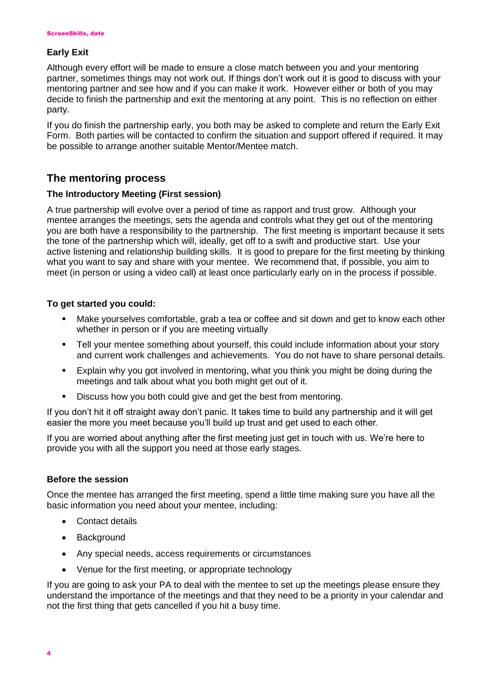## **Early Exit**

Although every effort will be made to ensure a close match between you and your mentoring partner, sometimes things may not work out. If things don't work out it is good to discuss with your mentoring partner and see how and if you can make it work. However either or both of you may decide to finish the partnership and exit the mentoring at any point. This is no reflection on either party.

If you do finish the partnership early, you both may be asked to complete and return the Early Exit Form. Both parties will be contacted to confirm the situation and support offered if required. It may be possible to arrange another suitable Mentor/Mentee match.

## **The mentoring process**

## **The Introductory Meeting (First session)**

A true partnership will evolve over a period of time as rapport and trust grow. Although your mentee arranges the meetings, sets the agenda and controls what they get out of the mentoring you are both have a responsibility to the partnership. The first meeting is important because it sets the tone of the partnership which will, ideally, get off to a swift and productive start. Use your active listening and relationship building skills. It is good to prepare for the first meeting by thinking what you want to say and share with your mentee. We recommend that, if possible, you aim to meet (in person or using a video call) at least once particularly early on in the process if possible.

## **To get started you could:**

- Make yourselves comfortable, grab a tea or coffee and sit down and get to know each other whether in person or if you are meeting virtually
- Tell your mentee something about yourself, this could include information about your story and current work challenges and achievements. You do not have to share personal details.
- Explain why you got involved in mentoring, what you think you might be doing during the meetings and talk about what you both might get out of it.
- **EXECUS EXECUS** Discuss how you both could give and get the best from mentoring.

If you don't hit it off straight away don't panic. It takes time to build any partnership and it will get easier the more you meet because you'll build up trust and get used to each other.

If you are worried about anything after the first meeting just get in touch with us. We're here to provide you with all the support you need at those early stages.

## **Before the session**

Once the mentee has arranged the first meeting, spend a little time making sure you have all the basic information you need about your mentee, including:

- Contact details
- Background
- Any special needs, access requirements or circumstances
- Venue for the first meeting, or appropriate technology

If you are going to ask your PA to deal with the mentee to set up the meetings please ensure they understand the importance of the meetings and that they need to be a priority in your calendar and not the first thing that gets cancelled if you hit a busy time.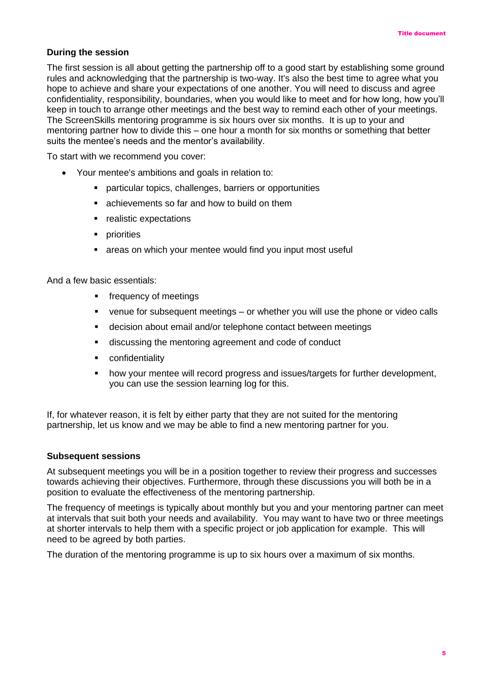#### **During the session**

The first session is all about getting the partnership off to a good start by establishing some ground rules and acknowledging that the partnership is two-way. It's also the best time to agree what you hope to achieve and share your expectations of one another. You will need to discuss and agree confidentiality, responsibility, boundaries, when you would like to meet and for how long, how you'll keep in touch to arrange other meetings and the best way to remind each other of your meetings. The ScreenSkills mentoring programme is six hours over six months. It is up to your and mentoring partner how to divide this – one hour a month for six months or something that better suits the mentee's needs and the mentor's availability.

To start with we recommend you cover:

- Your mentee's ambitions and goals in relation to:
	- particular topics, challenges, barriers or opportunities
	- achievements so far and how to build on them
	- realistic expectations
	- **•** priorities
	- areas on which your mentee would find you input most useful

And a few basic essentials:

- **•** frequency of meetings
- venue for subsequent meetings or whether you will use the phone or video calls
- decision about email and/or telephone contact between meetings
- discussing the mentoring agreement and code of conduct
- confidentiality
- how your mentee will record progress and issues/targets for further development, you can use the session learning log for this.

If, for whatever reason, it is felt by either party that they are not suited for the mentoring partnership, let us know and we may be able to find a new mentoring partner for you.

#### **Subsequent sessions**

At subsequent meetings you will be in a position together to review their progress and successes towards achieving their objectives. Furthermore, through these discussions you will both be in a position to evaluate the effectiveness of the mentoring partnership.

The frequency of meetings is typically about monthly but you and your mentoring partner can meet at intervals that suit both your needs and availability. You may want to have two or three meetings at shorter intervals to help them with a specific project or job application for example. This will need to be agreed by both parties.

The duration of the mentoring programme is up to six hours over a maximum of six months.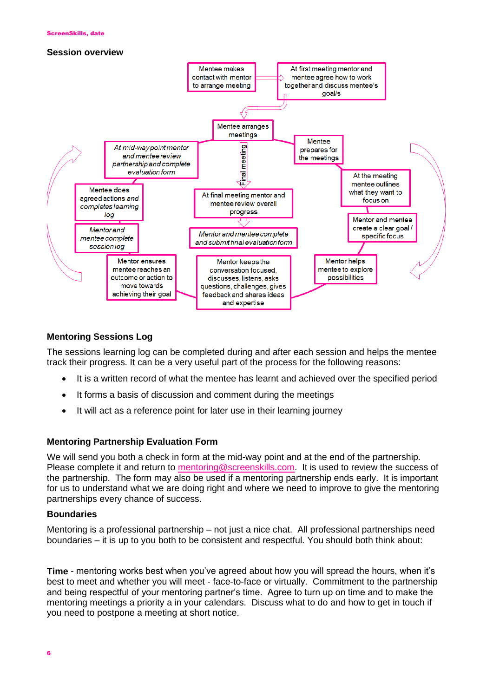#### **Session overview**



## **Mentoring Sessions Log**

The sessions learning log can be completed during and after each session and helps the mentee track their progress. It can be a very useful part of the process for the following reasons:

- It is a written record of what the mentee has learnt and achieved over the specified period
- It forms a basis of discussion and comment during the meetings
- It will act as a reference point for later use in their learning journey

## **Mentoring Partnership Evaluation Form**

We will send you both a check in form at the mid-way point and at the end of the partnership. Please complete it and return to [mentoring@screenskills.com.](mailto:mentoring@screenskills.com) It is used to review the success of the partnership. The form may also be used if a mentoring partnership ends early. It is important for us to understand what we are doing right and where we need to improve to give the mentoring partnerships every chance of success.

#### **Boundaries**

Mentoring is a professional partnership – not just a nice chat. All professional partnerships need boundaries – it is up to you both to be consistent and respectful. You should both think about:

**Time** - mentoring works best when you've agreed about how you will spread the hours, when it's best to meet and whether you will meet - face-to-face or virtually. Commitment to the partnership and being respectful of your mentoring partner's time. Agree to turn up on time and to make the mentoring meetings a priority a in your calendars. Discuss what to do and how to get in touch if you need to postpone a meeting at short notice.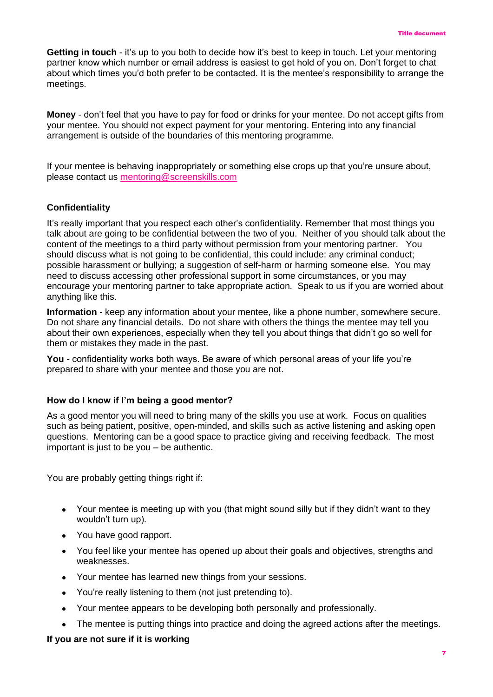**Getting in touch** - it's up to you both to decide how it's best to keep in touch. Let your mentoring partner know which number or email address is easiest to get hold of you on. Don't forget to chat about which times you'd both prefer to be contacted. It is the mentee's responsibility to arrange the meetings.

**Money** - don't feel that you have to pay for food or drinks for your mentee. Do not accept gifts from your mentee. You should not expect payment for your mentoring. Entering into any financial arrangement is outside of the boundaries of this mentoring programme.

If your mentee is behaving inappropriately or something else crops up that you're unsure about, please contact us [mentoring@screenskills.com](mailto:mentoring@screenskills.com)

#### **Confidentiality**

It's really important that you respect each other's confidentiality. Remember that most things you talk about are going to be confidential between the two of you. Neither of you should talk about the content of the meetings to a third party without permission from your mentoring partner. You should discuss what is not going to be confidential, this could include: any criminal conduct; possible harassment or bullying; a suggestion of self-harm or harming someone else. You may need to discuss accessing other professional support in some circumstances, or you may encourage your mentoring partner to take appropriate action. Speak to us if you are worried about anything like this.

**Information** - keep any information about your mentee, like a phone number, somewhere secure. Do not share any financial details. Do not share with others the things the mentee may tell you about their own experiences, especially when they tell you about things that didn't go so well for them or mistakes they made in the past.

**You** - confidentiality works both ways. Be aware of which personal areas of your life you're prepared to share with your mentee and those you are not.

#### **How do I know if I'm being a good mentor?**

As a good mentor you will need to bring many of the skills you use at work. Focus on qualities such as being patient, positive, open-minded, and skills such as active listening and asking open questions. Mentoring can be a good space to practice giving and receiving feedback. The most important is just to be you – be authentic.

You are probably getting things right if:

- Your mentee is meeting up with you (that might sound silly but if they didn't want to they wouldn't turn up).
- You have good rapport.
- You feel like your mentee has opened up about their goals and objectives, strengths and weaknesses.
- Your mentee has learned new things from your sessions.
- You're really listening to them (not just pretending to).
- Your mentee appears to be developing both personally and professionally.
- The mentee is putting things into practice and doing the agreed actions after the meetings.

## **If you are not sure if it is working**